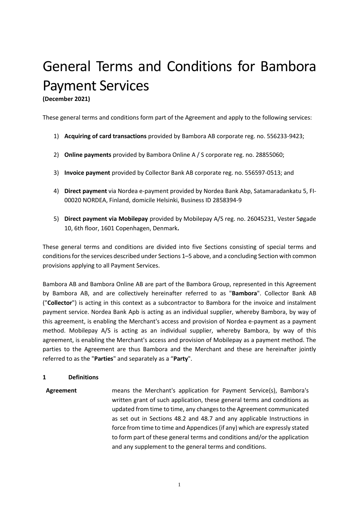# General Terms and Conditions for Bambora Payment Services

**(December 2021)**

These general terms and conditions form part of the Agreement and apply to the following services:

- 1) **Acquiring of card transactions** provided by Bambora AB corporate reg. no. 556233-9423;
- 2) **Online payments** provided by Bambora Online A / S corporate reg. no. 28855060;
- 3) **Invoice payment** provided by Collector Bank AB corporate reg. no. 556597-0513; and
- 4) **Direct payment** via Nordea e-payment provided by Nordea Bank Abp, Satamaradankatu 5, FI-00020 NORDEA, Finland, domicile Helsinki, Business ID 2858394-9
- 5) **Direct payment via Mobilepay** provided by Mobilepay A/S reg. no. 26045231, Vester Søgade 10, 6th floor, 1601 Copenhagen, Denmark**.**

These general terms and conditions are divided into five Sections consisting of special terms and conditions for the services described under Sections 1–5 above, and a concluding Section with common provisions applying to all Payment Services.

Bambora AB and Bambora Online AB are part of the Bambora Group, represented in this Agreement by Bambora AB, and are collectively hereinafter referred to as "**Bambora**". Collector Bank AB ("**Collector**") is acting in this context as a subcontractor to Bambora for the invoice and instalment payment service. Nordea Bank Apb is acting as an individual supplier, whereby Bambora, by way of this agreement, is enabling the Merchant's access and provision of Nordea e-payment as a payment method. Mobilepay A/S is acting as an individual supplier, whereby Bambora, by way of this agreement, is enabling the Merchant's access and provision of Mobilepay as a payment method. The parties to the Agreement are thus Bambora and the Merchant and these are hereinafter jointly referred to as the "**Parties**" and separately as a "**Party**".

#### **1 Definitions**

**Agreement** means the Merchant's application for Payment Service(s), Bambora's written grant of such application, these general terms and conditions as updated from time to time, any changes to the Agreement communicated as set out in Sections [48.2](#page-26-0) and [48.7](#page-27-0) and any applicable Instructions in force from time to time and Appendices (if any) which are expressly stated to form part of these general terms and conditions and/or the application and any supplement to the general terms and conditions.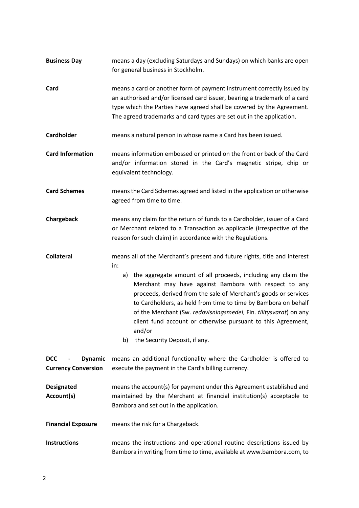| <b>Business Day</b>                                        | means a day (excluding Saturdays and Sundays) on which banks are open<br>for general business in Stockholm.                                                                                                                                                                                                                                                                                                                                                                                                                              |  |  |
|------------------------------------------------------------|------------------------------------------------------------------------------------------------------------------------------------------------------------------------------------------------------------------------------------------------------------------------------------------------------------------------------------------------------------------------------------------------------------------------------------------------------------------------------------------------------------------------------------------|--|--|
| Card                                                       | means a card or another form of payment instrument correctly issued by<br>an authorised and/or licensed card issuer, bearing a trademark of a card<br>type which the Parties have agreed shall be covered by the Agreement.<br>The agreed trademarks and card types are set out in the application.                                                                                                                                                                                                                                      |  |  |
| Cardholder                                                 | means a natural person in whose name a Card has been issued.                                                                                                                                                                                                                                                                                                                                                                                                                                                                             |  |  |
| <b>Card Information</b>                                    | means information embossed or printed on the front or back of the Card<br>and/or information stored in the Card's magnetic stripe, chip or<br>equivalent technology.                                                                                                                                                                                                                                                                                                                                                                     |  |  |
| <b>Card Schemes</b>                                        | means the Card Schemes agreed and listed in the application or otherwise<br>agreed from time to time.                                                                                                                                                                                                                                                                                                                                                                                                                                    |  |  |
| Chargeback                                                 | means any claim for the return of funds to a Cardholder, issuer of a Card<br>or Merchant related to a Transaction as applicable (irrespective of the<br>reason for such claim) in accordance with the Regulations.                                                                                                                                                                                                                                                                                                                       |  |  |
| <b>Collateral</b>                                          | means all of the Merchant's present and future rights, title and interest<br>in:<br>a) the aggregate amount of all proceeds, including any claim the<br>Merchant may have against Bambora with respect to any<br>proceeds, derived from the sale of Merchant's goods or services<br>to Cardholders, as held from time to time by Bambora on behalf<br>of the Merchant (Sw. redovisningsmedel, Fin. tilitysvarat) on any<br>client fund account or otherwise pursuant to this Agreement,<br>and/or<br>the Security Deposit, if any.<br>b) |  |  |
| <b>Dynamic</b><br><b>DCC</b><br><b>Currency Conversion</b> | means an additional functionality where the Cardholder is offered to<br>execute the payment in the Card's billing currency.                                                                                                                                                                                                                                                                                                                                                                                                              |  |  |
| <b>Designated</b><br>Account(s)                            | means the account(s) for payment under this Agreement established and<br>maintained by the Merchant at financial institution(s) acceptable to<br>Bambora and set out in the application.                                                                                                                                                                                                                                                                                                                                                 |  |  |
| <b>Financial Exposure</b>                                  | means the risk for a Chargeback.                                                                                                                                                                                                                                                                                                                                                                                                                                                                                                         |  |  |
| <b>Instructions</b>                                        | means the instructions and operational routine descriptions issued by<br>Bambora in writing from time to time, available at www.bambora.com, to                                                                                                                                                                                                                                                                                                                                                                                          |  |  |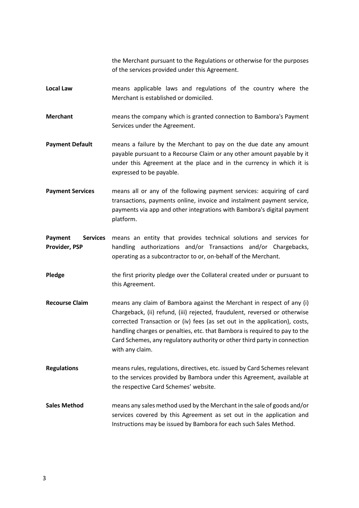the Merchant pursuant to the Regulations or otherwise for the purposes of the services provided under this Agreement.

- **Local Law** means applicable laws and regulations of the country where the Merchant is established or domiciled.
- **Merchant** means the company which is granted connection to Bambora's Payment Services under the Agreement.
- **Payment Default** means a failure by the Merchant to pay on the due date any amount payable pursuant to a Recourse Claim or any other amount payable by it under this Agreement at the place and in the currency in which it is expressed to be payable.
- **Payment Services** means all or any of the following payment services: acquiring of card transactions, payments online, invoice and instalment payment service, payments via app and other integrations with Bambora's digital payment platform.

Payment Services means an entity that provides technical solutions and services for **Provider, PSP** handling authorizations and/or Transactions and/or Chargebacks, operating as a subcontractor to or, on-behalf of the Merchant.

- **Pledge** the first priority pledge over the Collateral created under or pursuant to this Agreement.
- **Recourse Claim** means any claim of Bambora against the Merchant in respect of any (i) Chargeback, (ii) refund, (iii) rejected, fraudulent, reversed or otherwise corrected Transaction or (iv) fees (as set out in the application), costs, handling charges or penalties, etc. that Bambora is required to pay to the Card Schemes, any regulatory authority or other third party in connection with any claim.
- **Regulations** means rules, regulations, directives, etc. issued by Card Schemes relevant to the services provided by Bambora under this Agreement, available at the respective Card Schemes' website.
- **Sales Method** means any sales method used by the Merchant in the sale of goods and/or services covered by this Agreement as set out in the application and Instructions may be issued by Bambora for each such Sales Method.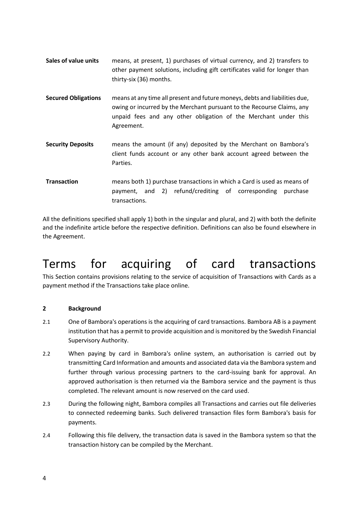- **Sales of value units** means, at present, 1) purchases of virtual currency, and 2) transfers to other payment solutions, including gift certificates valid for longer than thirty-six (36) months.
- **Secured Obligations** means at any time all present and future moneys, debts and liabilities due, owing or incurred by the Merchant pursuant to the Recourse Claims, any unpaid fees and any other obligation of the Merchant under this Agreement.
- **Security Deposits** means the amount (if any) deposited by the Merchant on Bambora's client funds account or any other bank account agreed between the Parties.
- **Transaction** means both 1) purchase transactions in which a Card is used as means of payment, and 2) refund/crediting of corresponding purchase transactions.

All the definitions specified shall apply 1) both in the singular and plural, and 2) with both the definite and the indefinite article before the respective definition. Definitions can also be found elsewhere in the Agreement.

## Terms for acquiring of card transactions

This Section contains provisions relating to the service of acquisition of Transactions with Cards as a payment method if the Transactions take place online.

## **2 Background**

- 2.1 One of Bambora's operations is the acquiring of card transactions. Bambora AB is a payment institution that has a permit to provide acquisition and is monitored by the Swedish Financial Supervisory Authority.
- 2.2 When paying by card in Bambora's online system, an authorisation is carried out by transmitting Card Information and amounts and associated data via the Bambora system and further through various processing partners to the card-issuing bank for approval. An approved authorisation is then returned via the Bambora service and the payment is thus completed. The relevant amount is now reserved on the card used.
- 2.3 During the following night, Bambora compiles all Transactions and carries out file deliveries to connected redeeming banks. Such delivered transaction files form Bambora's basis for payments.
- 2.4 Following this file delivery, the transaction data is saved in the Bambora system so that the transaction history can be compiled by the Merchant.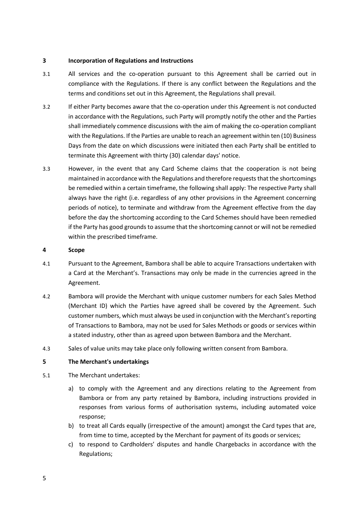#### **3 Incorporation of Regulations and Instructions**

- 3.1 All services and the co-operation pursuant to this Agreement shall be carried out in compliance with the Regulations. If there is any conflict between the Regulations and the terms and conditions set out in this Agreement, the Regulations shall prevail.
- 3.2 If either Party becomes aware that the co-operation under this Agreement is not conducted in accordance with the Regulations, such Party will promptly notify the other and the Parties shall immediately commence discussions with the aim of making the co-operation compliant with the Regulations. If the Parties are unable to reach an agreement within ten (10) Business Days from the date on which discussions were initiated then each Party shall be entitled to terminate this Agreement with thirty (30) calendar days' notice.
- 3.3 However, in the event that any Card Scheme claims that the cooperation is not being maintained in accordance with the Regulations and therefore requests that the shortcomings be remedied within a certain timeframe, the following shall apply: The respective Party shall always have the right (i.e. regardless of any other provisions in the Agreement concerning periods of notice), to terminate and withdraw from the Agreement effective from the day before the day the shortcoming according to the Card Schemes should have been remedied if the Party has good grounds to assume that the shortcoming cannot or will not be remedied within the prescribed timeframe.

#### **4 Scope**

- 4.1 Pursuant to the Agreement, Bambora shall be able to acquire Transactions undertaken with a Card at the Merchant's. Transactions may only be made in the currencies agreed in the Agreement.
- 4.2 Bambora will provide the Merchant with unique customer numbers for each Sales Method (Merchant ID) which the Parties have agreed shall be covered by the Agreement. Such customer numbers, which must always be used in conjunction with the Merchant's reporting of Transactions to Bambora, may not be used for Sales Methods or goods or services within a stated industry, other than as agreed upon between Bambora and the Merchant.
- 4.3 Sales of value units may take place only following written consent from Bambora.

#### **5 The Merchant's undertakings**

- <span id="page-4-0"></span>5.1 The Merchant undertakes:
	- a) to comply with the Agreement and any directions relating to the Agreement from Bambora or from any party retained by Bambora, including instructions provided in responses from various forms of authorisation systems, including automated voice response;
	- b) to treat all Cards equally (irrespective of the amount) amongst the Card types that are, from time to time, accepted by the Merchant for payment of its goods or services;
	- c) to respond to Cardholders' disputes and handle Chargebacks in accordance with the Regulations;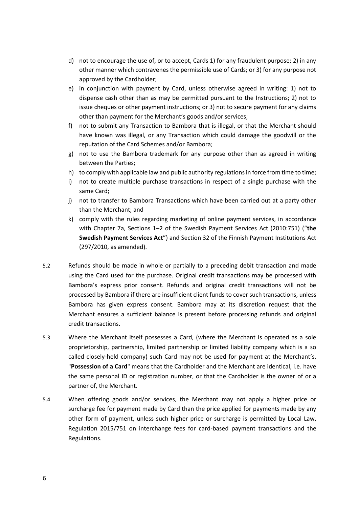- d) not to encourage the use of, or to accept, Cards 1) for any fraudulent purpose; 2) in any other manner which contravenes the permissible use of Cards; or 3) for any purpose not approved by the Cardholder;
- e) in conjunction with payment by Card, unless otherwise agreed in writing: 1) not to dispense cash other than as may be permitted pursuant to the Instructions; 2) not to issue cheques or other payment instructions; or 3) not to secure payment for any claims other than payment for the Merchant's goods and/or services;
- f) not to submit any Transaction to Bambora that is illegal, or that the Merchant should have known was illegal, or any Transaction which could damage the goodwill or the reputation of the Card Schemes and/or Bambora;
- g) not to use the Bambora trademark for any purpose other than as agreed in writing between the Parties;
- h) to comply with applicable law and public authority regulations in force from time to time;
- i) not to create multiple purchase transactions in respect of a single purchase with the same Card;
- j) not to transfer to Bambora Transactions which have been carried out at a party other than the Merchant; and
- <span id="page-5-0"></span>k) comply with the rules regarding marketing of online payment services, in accordance with Chapter 7a, Sections 1–2 of the Swedish Payment Services Act (2010:751) ("**the Swedish Payment Services Act**") and Section 32 of the Finnish Payment Institutions Act (297/2010, as amended).
- 5.2 Refunds should be made in whole or partially to a preceding debit transaction and made using the Card used for the purchase. Original credit transactions may be processed with Bambora's express prior consent. Refunds and original credit transactions will not be processed by Bambora if there are insufficient client funds to cover such transactions, unless Bambora has given express consent. Bambora may at its discretion request that the Merchant ensures a sufficient balance is present before processing refunds and original credit transactions.
- 5.3 Where the Merchant itself possesses a Card, (where the Merchant is operated as a sole proprietorship, partnership, limited partnership or limited liability company which is a so called closely-held company) such Card may not be used for payment at the Merchant's. "**Possession of a Card**" means that the Cardholder and the Merchant are identical, i.e. have the same personal ID or registration number, or that the Cardholder is the owner of or a partner of, the Merchant.
- 5.4 When offering goods and/or services, the Merchant may not apply a higher price or surcharge fee for payment made by Card than the price applied for payments made by any other form of payment, unless such higher price or surcharge is permitted by Local Law, Regulation 2015/751 on interchange fees for card-based payment transactions and the Regulations.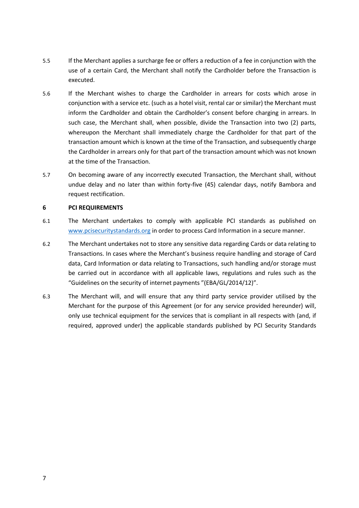- 5.5 If the Merchant applies a surcharge fee or offers a reduction of a fee in conjunction with the use of a certain Card, the Merchant shall notify the Cardholder before the Transaction is executed.
- 5.6 If the Merchant wishes to charge the Cardholder in arrears for costs which arose in conjunction with a service etc. (such as a hotel visit, rental car or similar) the Merchant must inform the Cardholder and obtain the Cardholder's consent before charging in arrears. In such case, the Merchant shall, when possible, divide the Transaction into two (2) parts, whereupon the Merchant shall immediately charge the Cardholder for that part of the transaction amount which is known at the time of the Transaction, and subsequently charge the Cardholder in arrears only for that part of the transaction amount which was not known at the time of the Transaction.
- 5.7 On becoming aware of any incorrectly executed Transaction, the Merchant shall, without undue delay and no later than within forty-five (45) calendar days, notify Bambora and request rectification.

#### **6 PCI REQUIREMENTS**

- <span id="page-6-0"></span>6.1 The Merchant undertakes to comply with applicable PCI standards as published on [www.pcisecuritystandards.org](http://www.pcisecuritystandards.org/) in order to process Card Information in a secure manner.
- <span id="page-6-1"></span>6.2 The Merchant undertakes not to store any sensitive data regarding Cards or data relating to Transactions. In cases where the Merchant's business require handling and storage of Card data, Card Information or data relating to Transactions, such handling and/or storage must be carried out in accordance with all applicable laws, regulations and rules such as the "Guidelines on the security of internet payments "(EBA/GL/2014/12)".
- <span id="page-6-2"></span>6.3 The Merchant will, and will ensure that any third party service provider utilised by the Merchant for the purpose of this Agreement (or for any service provided hereunder) will, only use technical equipment for the services that is compliant in all respects with (and, if required, approved under) the applicable standards published by PCI Security Standards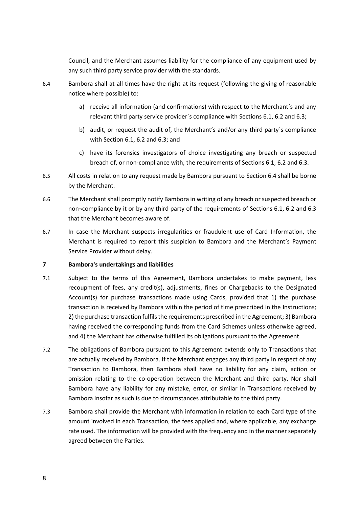Council, and the Merchant assumes liability for the compliance of any equipment used by any such third party service provider with the standards.

- 6.4 Bambora shall at all times have the right at its request (following the giving of reasonable notice where possible) to:
	- a) receive all information (and confirmations) with respect to the Merchant´s and any relevant third party service provider´s compliance with Section[s 6.1,](#page-6-0) [6.2](#page-6-1) an[d 6.3;](#page-6-2)
	- b) audit, or request the audit of, the Merchant's and/or any third party´s compliance with Section [6.1,](#page-6-0) [6.2](#page-6-1) and [6.3;](#page-6-2) and
	- c) have its forensics investigators of choice investigating any breach or suspected breach of, or non-compliance with, the requirements of Sections [6.1,](#page-6-0) [6.2](#page-6-1) an[d 6.3.](#page-6-2)
- 6.5 All costs in relation to any request made by Bambora pursuant to Section 6.4 shall be borne by the Merchant.
- 6.6 The Merchant shall promptly notify Bambora in writing of any breach or suspected breach or non¬compliance by it or by any third party of the requirements of Sections [6.1,](#page-6-0) [6.2](#page-6-1) and [6.3](#page-6-2) that the Merchant becomes aware of.
- 6.7 In case the Merchant suspects irregularities or fraudulent use of Card Information, the Merchant is required to report this suspicion to Bambora and the Merchant's Payment Service Provider without delay.

#### **7 Bambora's undertakings and liabilities**

- 7.1 Subject to the terms of this Agreement, Bambora undertakes to make payment, less recoupment of fees, any credit(s), adjustments, fines or Chargebacks to the Designated Account(s) for purchase transactions made using Cards, provided that 1) the purchase transaction is received by Bambora within the period of time prescribed in the Instructions; 2) the purchase transaction fulfils the requirements prescribed in the Agreement; 3) Bambora having received the corresponding funds from the Card Schemes unless otherwise agreed, and 4) the Merchant has otherwise fulfilled its obligations pursuant to the Agreement.
- 7.2 The obligations of Bambora pursuant to this Agreement extends only to Transactions that are actually received by Bambora. If the Merchant engages any third party in respect of any Transaction to Bambora, then Bambora shall have no liability for any claim, action or omission relating to the co-operation between the Merchant and third party. Nor shall Bambora have any liability for any mistake, error, or similar in Transactions received by Bambora insofar as such is due to circumstances attributable to the third party.
- <span id="page-7-0"></span>7.3 Bambora shall provide the Merchant with information in relation to each Card type of the amount involved in each Transaction, the fees applied and, where applicable, any exchange rate used. The information will be provided with the frequency and in the manner separately agreed between the Parties.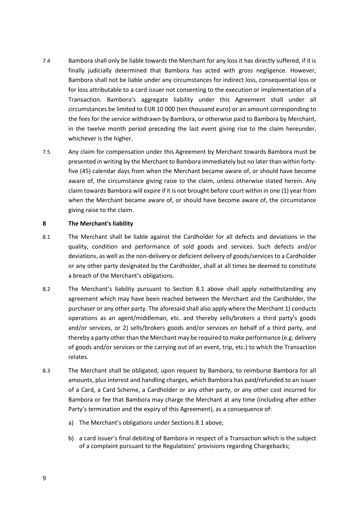- <span id="page-8-2"></span>7.4 Bambora shall only be liable towards the Merchant for any loss it has directly suffered, if it is finally judicially determined that Bambora has acted with gross negligence. However, Bambora shall not be liable under any circumstances for indirect loss, consequential loss or for loss attributable to a card issuer not consenting to the execution or implementation of a Transaction. Bambora's aggregate liability under this Agreement shall under all circumstances be limited to EUR 10 000 (ten thousand euro) or an amount corresponding to the fees for the service withdrawn by Bambora, or otherwise paid to Bambora by Merchant, in the twelve month period preceding the last event giving rise to the claim hereunder, whichever is the higher.
- 7.5 Any claim for compensation under this Agreement by Merchant towards Bambora must be presented in writing by the Merchant to Bambora immediately but no later than within fortyfive (45) calendar days from when the Merchant became aware of, or should have become aware of, the circumstance giving raise to the claim, unless otherwise stated herein. Any claim towards Bambora will expire if it is not brought before court within in one (1) year from when the Merchant became aware of, or should have become aware of, the circumstance giving raise to the claim.

#### **8 The Merchant's liability**

- <span id="page-8-0"></span>8.1 The Merchant shall be liable against the Cardholder for all defects and deviations in the quality, condition and performance of sold goods and services. Such defects and/or deviations, as well as the non-delivery or deficient delivery of goods/services to a Cardholder or any other party designated by the Cardholder, shall at all times be deemed to constitute a breach of the Merchant's obligations.
- 8.2 The Merchant's liability pursuant to Section [8.1](#page-8-0) above shall apply notwithstanding any agreement which may have been reached between the Merchant and the Cardholder, the purchaser or any other party. The aforesaid shall also apply where the Merchant 1) conducts operations as an agent/middleman, etc. and thereby sells/brokers a third party's goods and/or services, or 2) sells/brokers goods and/or services on behalf of a third party, and thereby a party other than the Merchant may be required to make performance (e.g. delivery of goods and/or services or the carrying out of an event, trip, etc.) to which the Transaction relates.
- <span id="page-8-1"></span>8.3 The Merchant shall be obligated, upon request by Bambora, to reimburse Bambora for all amounts, plus interest and handling charges, which Bambora has paid/refunded to an issuer of a Card, a Card Scheme, a Cardholder or any other party, or any other cost incurred for Bambora or fee that Bambora may charge the Merchant at any time (including after either Party's termination and the expiry of this Agreement), as a consequence of:
	- a) The Merchant's obligations under Sections [8.1](#page-8-0) above;
	- b) a card issuer's final debiting of Bambora in respect of a Transaction which is the subject of a complaint pursuant to the Regulations' provisions regarding Chargebacks;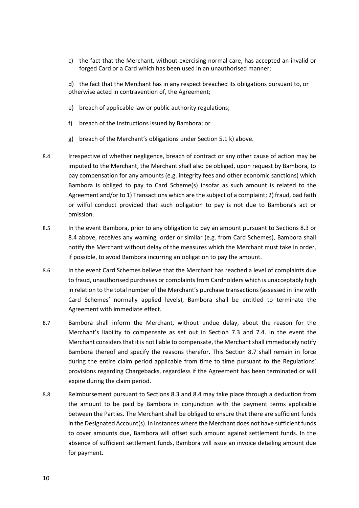c) the fact that the Merchant, without exercising normal care, has accepted an invalid or forged Card or a Card which has been used in an unauthorised manner;

d) the fact that the Merchant has in any respect breached its obligations pursuant to, or otherwise acted in contravention of, the Agreement;

- e) breach of applicable law or public authority regulations;
- f) breach of the Instructions issued by Bambora; or
- g) breach of the Merchant's obligations under Sectio[n 5.1](#page-4-0) [k\)](#page-5-0) above.
- <span id="page-9-0"></span>8.4 Irrespective of whether negligence, breach of contract or any other cause of action may be imputed to the Merchant, the Merchant shall also be obliged, upon request by Bambora, to pay compensation for any amounts (e.g. integrity fees and other economic sanctions) which Bambora is obliged to pay to Card Scheme(s) insofar as such amount is related to the Agreement and/or to 1) Transactions which are the subject of a complaint; 2) fraud, bad faith or wilful conduct provided that such obligation to pay is not due to Bambora's act or omission.
- 8.5 In the event Bambora, prior to any obligation to pay an amount pursuant to Sections [8.3](#page-8-1) or [8.4](#page-9-0) above, receives any warning, order or similar (e.g. from Card Schemes), Bambora shall notify the Merchant without delay of the measures which the Merchant must take in order, if possible, to avoid Bambora incurring an obligation to pay the amount.
- 8.6 In the event Card Schemes believe that the Merchant has reached a level of complaints due to fraud, unauthorised purchases or complaints from Cardholders which is unacceptably high in relation to the total number of the Merchant's purchase transactions (assessed in line with Card Schemes' normally applied levels), Bambora shall be entitled to terminate the Agreement with immediate effect.
- <span id="page-9-1"></span>8.7 Bambora shall inform the Merchant, without undue delay, about the reason for the Merchant's liability to compensate as set out in Section [7.3](#page-7-0) and [7.4.](#page-8-2) In the event the Merchant considers that it is not liable to compensate, the Merchant shall immediately notify Bambora thereof and specify the reasons therefor. This Section [8.7](#page-9-1) shall remain in force during the entire claim period applicable from time to time pursuant to the Regulations' provisions regarding Chargebacks, regardless if the Agreement has been terminated or will expire during the claim period.
- 8.8 Reimbursement pursuant to Sections [8.3](#page-8-1) and [8.4](#page-9-0) may take place through a deduction from the amount to be paid by Bambora in conjunction with the payment terms applicable between the Parties. The Merchant shall be obliged to ensure that there are sufficient funds in the Designated Account(s). In instances where the Merchant does not have sufficient funds to cover amounts due, Bambora will offset such amount against settlement funds. In the absence of sufficient settlement funds, Bambora will issue an invoice detailing amount due for payment.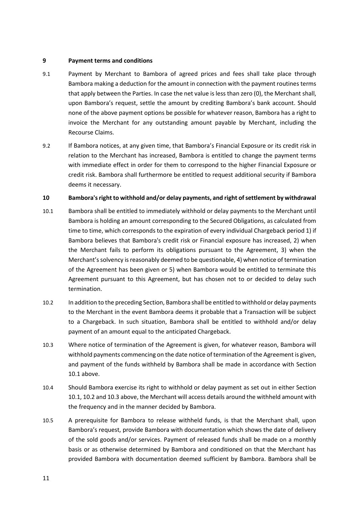#### <span id="page-10-3"></span>**9 Payment terms and conditions**

- 9.1 Payment by Merchant to Bambora of agreed prices and fees shall take place through Bambora making a deduction for the amount in connection with the payment routines terms that apply between the Parties. In case the net value is less than zero (0), the Merchant shall, upon Bambora's request, settle the amount by crediting Bambora's bank account. Should none of the above payment options be possible for whatever reason, Bambora has a right to invoice the Merchant for any outstanding amount payable by Merchant, including the Recourse Claims.
- 9.2 If Bambora notices, at any given time, that Bambora's Financial Exposure or its credit risk in relation to the Merchant has increased, Bambora is entitled to change the payment terms with immediate effect in order for them to correspond to the higher Financial Exposure or credit risk. Bambora shall furthermore be entitled to request additional security if Bambora deems it necessary.

#### **10 Bambora's right to withhold and/or delay payments, and right of settlement by withdrawal**

- <span id="page-10-0"></span>10.1 Bambora shall be entitled to immediately withhold or delay payments to the Merchant until Bambora is holding an amount corresponding to the Secured Obligations, as calculated from time to time, which corresponds to the expiration of every individual Chargeback period 1) if Bambora believes that Bambora's credit risk or Financial exposure has increased, 2) when the Merchant fails to perform its obligations pursuant to the Agreement, 3) when the Merchant's solvency is reasonably deemed to be questionable, 4) when notice of termination of the Agreement has been given or 5) when Bambora would be entitled to terminate this Agreement pursuant to this Agreement, but has chosen not to or decided to delay such termination.
- <span id="page-10-1"></span>10.2 In addition to the preceding Section, Bambora shall be entitled to withhold or delay payments to the Merchant in the event Bambora deems it probable that a Transaction will be subject to a Chargeback. In such situation, Bambora shall be entitled to withhold and/or delay payment of an amount equal to the anticipated Chargeback.
- <span id="page-10-2"></span>10.3 Where notice of termination of the Agreement is given, for whatever reason, Bambora will withhold payments commencing on the date notice of termination of the Agreement is given, and payment of the funds withheld by Bambora shall be made in accordance with Section [10.1](#page-10-0) above.
- 10.4 Should Bambora exercise its right to withhold or delay payment as set out in either Section [10.1,](#page-10-0) [10.2](#page-10-1) an[d 10.3](#page-10-2) above, the Merchant will access details around the withheld amount with the frequency and in the manner decided by Bambora.
- 10.5 A prerequisite for Bambora to release withheld funds, is that the Merchant shall, upon Bambora's request, provide Bambora with documentation which shows the date of delivery of the sold goods and/or services. Payment of released funds shall be made on a monthly basis or as otherwise determined by Bambora and conditioned on that the Merchant has provided Bambora with documentation deemed sufficient by Bambora. Bambora shall be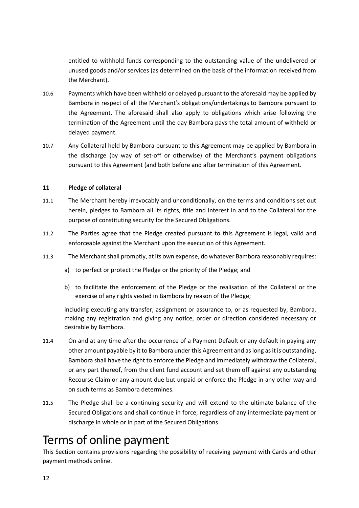entitled to withhold funds corresponding to the outstanding value of the undelivered or unused goods and/or services (as determined on the basis of the information received from the Merchant).

- 10.6 Payments which have been withheld or delayed pursuant to the aforesaid may be applied by Bambora in respect of all the Merchant's obligations/undertakings to Bambora pursuant to the Agreement. The aforesaid shall also apply to obligations which arise following the termination of the Agreement until the day Bambora pays the total amount of withheld or delayed payment.
- 10.7 Any Collateral held by Bambora pursuant to this Agreement may be applied by Bambora in the discharge (by way of set-off or otherwise) of the Merchant's payment obligations pursuant to this Agreement (and both before and after termination of this Agreement.

## **11 Pledge of collateral**

- 11.1 The Merchant hereby irrevocably and unconditionally, on the terms and conditions set out herein, pledges to Bambora all its rights, title and interest in and to the Collateral for the purpose of constituting security for the Secured Obligations.
- 11.2 The Parties agree that the Pledge created pursuant to this Agreement is legal, valid and enforceable against the Merchant upon the execution of this Agreement.
- 11.3 The Merchant shall promptly, at its own expense, do whatever Bambora reasonably requires:
	- a) to perfect or protect the Pledge or the priority of the Pledge; and
	- b) to facilitate the enforcement of the Pledge or the realisation of the Collateral or the exercise of any rights vested in Bambora by reason of the Pledge;

including executing any transfer, assignment or assurance to, or as requested by, Bambora, making any registration and giving any notice, order or direction considered necessary or desirable by Bambora.

- 11.4 On and at any time after the occurrence of a Payment Default or any default in paying any other amount payable by it to Bambora under this Agreement and as long as it is outstanding, Bambora shall have the right to enforce the Pledge and immediately withdraw the Collateral, or any part thereof, from the client fund account and set them off against any outstanding Recourse Claim or any amount due but unpaid or enforce the Pledge in any other way and on such terms as Bambora determines.
- 11.5 The Pledge shall be a continuing security and will extend to the ultimate balance of the Secured Obligations and shall continue in force, regardless of any intermediate payment or discharge in whole or in part of the Secured Obligations.

## Terms of online payment

This Section contains provisions regarding the possibility of receiving payment with Cards and other payment methods online.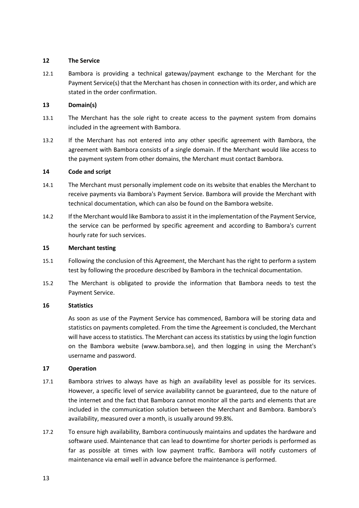#### **12 The Service**

12.1 Bambora is providing a technical gateway/payment exchange to the Merchant for the Payment Service(s) that the Merchant has chosen in connection with its order, and which are stated in the order confirmation.

### **13 Domain(s)**

- 13.1 The Merchant has the sole right to create access to the payment system from domains included in the agreement with Bambora.
- 13.2 If the Merchant has not entered into any other specific agreement with Bambora, the agreement with Bambora consists of a single domain. If the Merchant would like access to the payment system from other domains, the Merchant must contact Bambora.

#### **14 Code and script**

- 14.1 The Merchant must personally implement code on its website that enables the Merchant to receive payments via Bambora's Payment Service. Bambora will provide the Merchant with technical documentation, which can also be found on the Bambora website.
- 14.2 If the Merchant would like Bambora to assist it in the implementation of the Payment Service, the service can be performed by specific agreement and according to Bambora's current hourly rate for such services.

### **15 Merchant testing**

- 15.1 Following the conclusion of this Agreement, the Merchant has the right to perform a system test by following the procedure described by Bambora in the technical documentation.
- 15.2 The Merchant is obligated to provide the information that Bambora needs to test the Payment Service.

## **16 Statistics**

As soon as use of the Payment Service has commenced, Bambora will be storing data and statistics on payments completed. From the time the Agreement is concluded, the Merchant will have access to statistics. The Merchant can access its statistics by using the login function on the Bambora website (www.bambora.se), and then logging in using the Merchant's username and password.

## **17 Operation**

- 17.1 Bambora strives to always have as high an availability level as possible for its services. However, a specific level of service availability cannot be guaranteed, due to the nature of the internet and the fact that Bambora cannot monitor all the parts and elements that are included in the communication solution between the Merchant and Bambora. Bambora's availability, measured over a month, is usually around 99.8%.
- 17.2 To ensure high availability, Bambora continuously maintains and updates the hardware and software used. Maintenance that can lead to downtime for shorter periods is performed as far as possible at times with low payment traffic. Bambora will notify customers of maintenance via email well in advance before the maintenance is performed.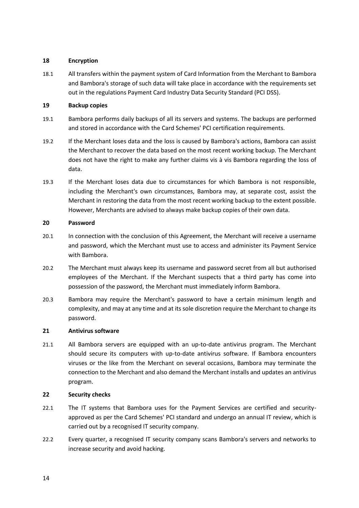#### **18 Encryption**

18.1 All transfers within the payment system of Card Information from the Merchant to Bambora and Bambora's storage of such data will take place in accordance with the requirements set out in the regulations Payment Card Industry Data Security Standard (PCI DSS).

### **19 Backup copies**

- 19.1 Bambora performs daily backups of all its servers and systems. The backups are performed and stored in accordance with the Card Schemes' PCI certification requirements.
- 19.2 If the Merchant loses data and the loss is caused by Bambora's actions, Bambora can assist the Merchant to recover the data based on the most recent working backup. The Merchant does not have the right to make any further claims vis à vis Bambora regarding the loss of data.
- 19.3 If the Merchant loses data due to circumstances for which Bambora is not responsible, including the Merchant's own circumstances, Bambora may, at separate cost, assist the Merchant in restoring the data from the most recent working backup to the extent possible. However, Merchants are advised to always make backup copies of their own data.

#### **20 Password**

- 20.1 In connection with the conclusion of this Agreement, the Merchant will receive a username and password, which the Merchant must use to access and administer its Payment Service with Bambora.
- 20.2 The Merchant must always keep its username and password secret from all but authorised employees of the Merchant. If the Merchant suspects that a third party has come into possession of the password, the Merchant must immediately inform Bambora.
- 20.3 Bambora may require the Merchant's password to have a certain minimum length and complexity, and may at any time and at its sole discretion require the Merchant to change its password.

#### **21 Antivirus software**

21.1 All Bambora servers are equipped with an up-to-date antivirus program. The Merchant should secure its computers with up-to-date antivirus software. If Bambora encounters viruses or the like from the Merchant on several occasions, Bambora may terminate the connection to the Merchant and also demand the Merchant installs and updates an antivirus program.

## **22 Security checks**

- 22.1 The IT systems that Bambora uses for the Payment Services are certified and securityapproved as per the Card Schemes' PCI standard and undergo an annual IT review, which is carried out by a recognised IT security company.
- 22.2 Every quarter, a recognised IT security company scans Bambora's servers and networks to increase security and avoid hacking.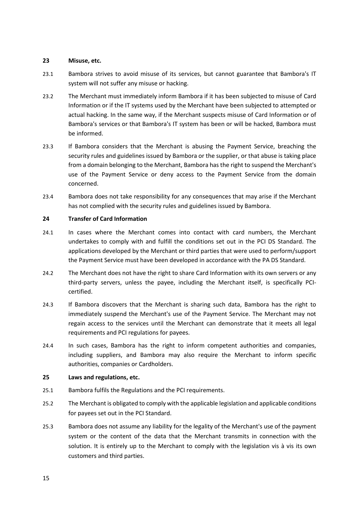#### **23 Misuse, etc.**

- 23.1 Bambora strives to avoid misuse of its services, but cannot guarantee that Bambora's IT system will not suffer any misuse or hacking.
- 23.2 The Merchant must immediately inform Bambora if it has been subjected to misuse of Card Information or if the IT systems used by the Merchant have been subjected to attempted or actual hacking. In the same way, if the Merchant suspects misuse of Card Information or of Bambora's services or that Bambora's IT system has been or will be hacked, Bambora must be informed.
- 23.3 If Bambora considers that the Merchant is abusing the Payment Service, breaching the security rules and guidelines issued by Bambora or the supplier, or that abuse is taking place from a domain belonging to the Merchant, Bambora has the right to suspend the Merchant's use of the Payment Service or deny access to the Payment Service from the domain concerned.
- 23.4 Bambora does not take responsibility for any consequences that may arise if the Merchant has not complied with the security rules and guidelines issued by Bambora.

#### **24 Transfer of Card Information**

- 24.1 In cases where the Merchant comes into contact with card numbers, the Merchant undertakes to comply with and fulfill the conditions set out in the PCI DS Standard. The applications developed by the Merchant or third parties that were used to perform/support the Payment Service must have been developed in accordance with the PA DS Standard.
- 24.2 The Merchant does not have the right to share Card Information with its own servers or any third-party servers, unless the payee, including the Merchant itself, is specifically PCIcertified.
- 24.3 If Bambora discovers that the Merchant is sharing such data, Bambora has the right to immediately suspend the Merchant's use of the Payment Service. The Merchant may not regain access to the services until the Merchant can demonstrate that it meets all legal requirements and PCI regulations for payees.
- 24.4 In such cases, Bambora has the right to inform competent authorities and companies, including suppliers, and Bambora may also require the Merchant to inform specific authorities, companies or Cardholders.

## **25 Laws and regulations, etc.**

- 25.1 Bambora fulfils the Regulations and the PCI requirements.
- 25.2 The Merchant is obligated to comply with the applicable legislation and applicable conditions for payees set out in the PCI Standard.
- 25.3 Bambora does not assume any liability for the legality of the Merchant's use of the payment system or the content of the data that the Merchant transmits in connection with the solution. It is entirely up to the Merchant to comply with the legislation vis à vis its own customers and third parties.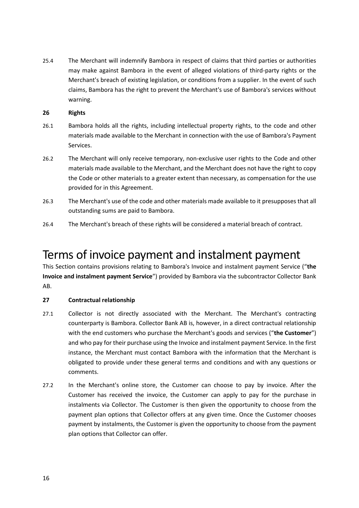<span id="page-15-0"></span>25.4 The Merchant will indemnify Bambora in respect of claims that third parties or authorities may make against Bambora in the event of alleged violations of third-party rights or the Merchant's breach of existing legislation, or conditions from a supplier. In the event of such claims, Bambora has the right to prevent the Merchant's use of Bambora's services without warning.

#### **26 Rights**

- 26.1 Bambora holds all the rights, including intellectual property rights, to the code and other materials made available to the Merchant in connection with the use of Bambora's Payment Services.
- 26.2 The Merchant will only receive temporary, non-exclusive user rights to the Code and other materials made available to the Merchant, and the Merchant does not have the right to copy the Code or other materials to a greater extent than necessary, as compensation for the use provided for in this Agreement.
- 26.3 The Merchant's use of the code and other materials made available to it presupposes that all outstanding sums are paid to Bambora.
- 26.4 The Merchant's breach of these rights will be considered a material breach of contract.

## Terms of invoice payment and instalment payment

This Section contains provisions relating to Bambora's Invoice and instalment payment Service ("**the Invoice and instalment payment Service**") provided by Bambora via the subcontractor Collector Bank AB.

## **27 Contractual relationship**

- 27.1 Collector is not directly associated with the Merchant. The Merchant's contracting counterparty is Bambora. Collector Bank AB is, however, in a direct contractual relationship with the end customers who purchase the Merchant's goods and services ("**the Customer**") and who pay for their purchase using the Invoice and instalment payment Service. In the first instance, the Merchant must contact Bambora with the information that the Merchant is obligated to provide under these general terms and conditions and with any questions or comments.
- 27.2 In the Merchant's online store, the Customer can choose to pay by invoice. After the Customer has received the invoice, the Customer can apply to pay for the purchase in instalments via Collector. The Customer is then given the opportunity to choose from the payment plan options that Collector offers at any given time. Once the Customer chooses payment by instalments, the Customer is given the opportunity to choose from the payment plan options that Collector can offer.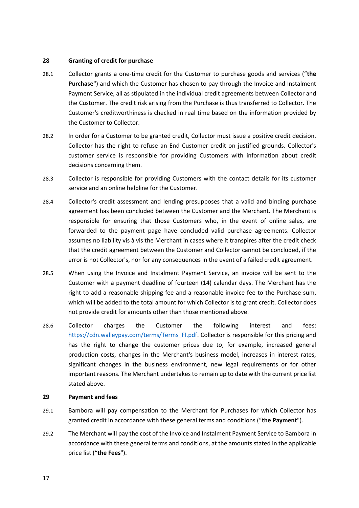#### **28 Granting of credit for purchase**

- 28.1 Collector grants a one-time credit for the Customer to purchase goods and services ("**the Purchase**") and which the Customer has chosen to pay through the Invoice and Instalment Payment Service, all as stipulated in the individual credit agreements between Collector and the Customer. The credit risk arising from the Purchase is thus transferred to Collector. The Customer's creditworthiness is checked in real time based on the information provided by the Customer to Collector.
- 28.2 In order for a Customer to be granted credit, Collector must issue a positive credit decision. Collector has the right to refuse an End Customer credit on justified grounds. Collector's customer service is responsible for providing Customers with information about credit decisions concerning them.
- 28.3 Collector is responsible for providing Customers with the contact details for its customer service and an online helpline for the Customer.
- 28.4 Collector's credit assessment and lending presupposes that a valid and binding purchase agreement has been concluded between the Customer and the Merchant. The Merchant is responsible for ensuring that those Customers who, in the event of online sales, are forwarded to the payment page have concluded valid purchase agreements. Collector assumes no liability vis à vis the Merchant in cases where it transpires after the credit check that the credit agreement between the Customer and Collector cannot be concluded, if the error is not Collector's, nor for any consequences in the event of a failed credit agreement.
- 28.5 When using the Invoice and Instalment Payment Service, an invoice will be sent to the Customer with a payment deadline of fourteen (14) calendar days. The Merchant has the right to add a reasonable shipping fee and a reasonable invoice fee to the Purchase sum, which will be added to the total amount for which Collector is to grant credit. Collector does not provide credit for amounts other than those mentioned above.
- 28.6 Collector charges the Customer the following interest and fees: [https://cdn.walleypay.com/terms/Terms\\_FI.pdf.](https://cdn.walleypay.com/terms/Terms_FI.pdf) Collector is responsible for this pricing and has the right to change the customer prices due to, for example, increased general production costs, changes in the Merchant's business model, increases in interest rates, significant changes in the business environment, new legal requirements or for other important reasons. The Merchant undertakes to remain up to date with the current price list stated above.

#### <span id="page-16-0"></span>**29 Payment and fees**

- 29.1 Bambora will pay compensation to the Merchant for Purchases for which Collector has granted credit in accordance with these general terms and conditions ("**the Payment**").
- 29.2 The Merchant will pay the cost of the Invoice and Instalment Payment Service to Bambora in accordance with these general terms and conditions, at the amounts stated in the applicable price list ("**the Fees**").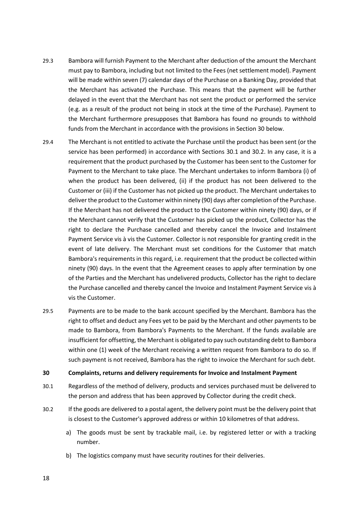- 29.3 Bambora will furnish Payment to the Merchant after deduction of the amount the Merchant must pay to Bambora, including but not limited to the Fees (net settlement model). Payment will be made within seven (7) calendar days of the Purchase on a Banking Day, provided that the Merchant has activated the Purchase. This means that the payment will be further delayed in the event that the Merchant has not sent the product or performed the service (e.g. as a result of the product not being in stock at the time of the Purchase). Payment to the Merchant furthermore presupposes that Bambora has found no grounds to withhold funds from the Merchant in accordance with the provisions in Sectio[n 30](#page-17-0) below.
- 29.4 The Merchant is not entitled to activate the Purchase until the product has been sent (or the service has been performed) in accordance with Sections [30.1](#page-17-1) and [30.2.](#page-17-2) In any case, it is a requirement that the product purchased by the Customer has been sent to the Customer for Payment to the Merchant to take place. The Merchant undertakes to inform Bambora (i) of when the product has been delivered, (ii) if the product has not been delivered to the Customer or (iii) if the Customer has not picked up the product. The Merchant undertakes to deliver the product to the Customer within ninety (90) days after completion of the Purchase. If the Merchant has not delivered the product to the Customer within ninety (90) days, or if the Merchant cannot verify that the Customer has picked up the product, Collector has the right to declare the Purchase cancelled and thereby cancel the Invoice and Instalment Payment Service vis à vis the Customer. Collector is not responsible for granting credit in the event of late delivery. The Merchant must set conditions for the Customer that match Bambora's requirements in this regard, i.e. requirement that the product be collected within ninety (90) days. In the event that the Agreement ceases to apply after termination by one of the Parties and the Merchant has undelivered products, Collector has the right to declare the Purchase cancelled and thereby cancel the Invoice and Instalment Payment Service vis à vis the Customer.
- 29.5 Payments are to be made to the bank account specified by the Merchant. Bambora has the right to offset and deduct any Fees yet to be paid by the Merchant and other payments to be made to Bambora, from Bambora's Payments to the Merchant. If the funds available are insufficient for offsetting, the Merchant is obligated to pay such outstanding debt to Bambora within one (1) week of the Merchant receiving a written request from Bambora to do so. If such payment is not received, Bambora has the right to invoice the Merchant for such debt.

#### <span id="page-17-0"></span>**30 Complaints, returns and delivery requirements for Invoice and Instalment Payment**

- <span id="page-17-1"></span>30.1 Regardless of the method of delivery, products and services purchased must be delivered to the person and address that has been approved by Collector during the credit check.
- <span id="page-17-3"></span><span id="page-17-2"></span>30.2 If the goods are delivered to a postal agent, the delivery point must be the delivery point that is closest to the Customer's approved address or within 10 kilometres of that address.
	- a) The goods must be sent by trackable mail, i.e. by registered letter or with a tracking number.
	- b) The logistics company must have security routines for their deliveries.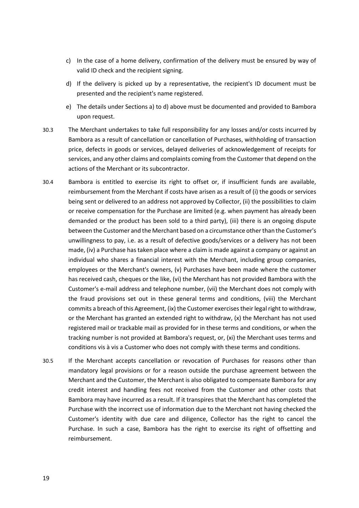- c) In the case of a home delivery, confirmation of the delivery must be ensured by way of valid ID check and the recipient signing.
- <span id="page-18-0"></span>d) If the delivery is picked up by a representative, the recipient's ID document must be presented and the recipient's name registered.
- e) The details under Sections [a\)](#page-17-3) to [d\)](#page-18-0) above must be documented and provided to Bambora upon request.
- 30.3 The Merchant undertakes to take full responsibility for any losses and/or costs incurred by Bambora as a result of cancellation or cancellation of Purchases, withholding of transaction price, defects in goods or services, delayed deliveries of acknowledgement of receipts for services, and any other claims and complaints coming from the Customer that depend on the actions of the Merchant or its subcontractor.
- 30.4 Bambora is entitled to exercise its right to offset or, if insufficient funds are available, reimbursement from the Merchant if costs have arisen as a result of (i) the goods or services being sent or delivered to an address not approved by Collector, (ii) the possibilities to claim or receive compensation for the Purchase are limited (e.g. when payment has already been demanded or the product has been sold to a third party), (iii) there is an ongoing dispute between the Customer and the Merchant based on a circumstance other than the Customer's unwillingness to pay, i.e. as a result of defective goods/services or a delivery has not been made, (iv) a Purchase has taken place where a claim is made against a company or against an individual who shares a financial interest with the Merchant, including group companies, employees or the Merchant's owners, (v) Purchases have been made where the customer has received cash, cheques or the like, (vi) the Merchant has not provided Bambora with the Customer's e-mail address and telephone number, (vii) the Merchant does not comply with the fraud provisions set out in these general terms and conditions, (viii) the Merchant commits a breach of this Agreement, (ix) the Customer exercises their legal right to withdraw, or the Merchant has granted an extended right to withdraw, (x) the Merchant has not used registered mail or trackable mail as provided for in these terms and conditions, or when the tracking number is not provided at Bambora's request, or, (xi) the Merchant uses terms and conditions vis à vis a Customer who does not comply with these terms and conditions.
- 30.5 If the Merchant accepts cancellation or revocation of Purchases for reasons other than mandatory legal provisions or for a reason outside the purchase agreement between the Merchant and the Customer, the Merchant is also obligated to compensate Bambora for any credit interest and handling fees not received from the Customer and other costs that Bambora may have incurred as a result. If it transpires that the Merchant has completed the Purchase with the incorrect use of information due to the Merchant not having checked the Customer's identity with due care and diligence, Collector has the right to cancel the Purchase. In such a case, Bambora has the right to exercise its right of offsetting and reimbursement.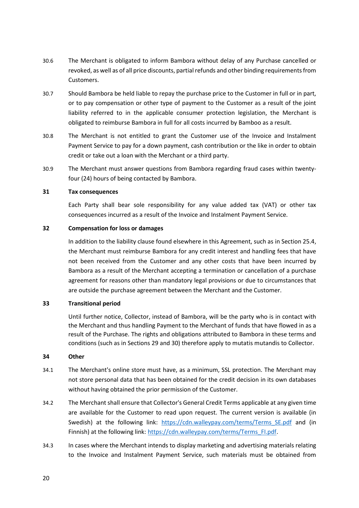- 30.6 The Merchant is obligated to inform Bambora without delay of any Purchase cancelled or revoked, as well as of all price discounts, partial refunds and other binding requirements from Customers.
- 30.7 Should Bambora be held liable to repay the purchase price to the Customer in full or in part, or to pay compensation or other type of payment to the Customer as a result of the joint liability referred to in the applicable consumer protection legislation, the Merchant is obligated to reimburse Bambora in full for all costs incurred by Bamboo as a result.
- 30.8 The Merchant is not entitled to grant the Customer use of the Invoice and Instalment Payment Service to pay for a down payment, cash contribution or the like in order to obtain credit or take out a loan with the Merchant or a third party.
- 30.9 The Merchant must answer questions from Bambora regarding fraud cases within twentyfour (24) hours of being contacted by Bambora.

#### **31 Tax consequences**

Each Party shall bear sole responsibility for any value added tax (VAT) or other tax consequences incurred as a result of the Invoice and Instalment Payment Service.

#### **32 Compensation for loss or damages**

In addition to the liability clause found elsewhere in this Agreement, such as in Section [25.4,](#page-15-0) the Merchant must reimburse Bambora for any credit interest and handling fees that have not been received from the Customer and any other costs that have been incurred by Bambora as a result of the Merchant accepting a termination or cancellation of a purchase agreement for reasons other than mandatory legal provisions or due to circumstances that are outside the purchase agreement between the Merchant and the Customer.

#### **33 Transitional period**

Until further notice, Collector, instead of Bambora, will be the party who is in contact with the Merchant and thus handling Payment to the Merchant of funds that have flowed in as a result of the Purchase. The rights and obligations attributed to Bambora in these terms and conditions (such as in Sections [29](#page-16-0) an[d 30\)](#page-17-0) therefore apply to mutatis mutandis to Collector.

#### **34 Other**

- 34.1 The Merchant's online store must have, as a minimum, SSL protection. The Merchant may not store personal data that has been obtained for the credit decision in its own databases without having obtained the prior permission of the Customer.
- 34.2 The Merchant shall ensure that Collector's General Credit Terms applicable at any given time are available for the Customer to read upon request. The current version is available (in Swedish) at the following link: [https://cdn.walleypay.com/terms/Terms\\_SE.pdf](https://cdn.walleypay.com/terms/Terms_SE.pdf) and (in Finnish) at the following link: [https://cdn.walleypay.com/terms/Terms\\_FI.pdf.](https://cdn.walleypay.com/terms/Terms_FI.pdf)
- 34.3 In cases where the Merchant intends to display marketing and advertising materials relating to the Invoice and Instalment Payment Service, such materials must be obtained from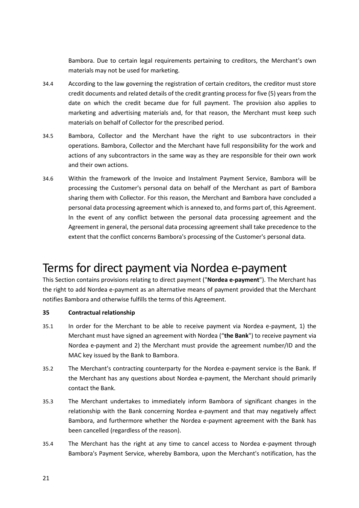Bambora. Due to certain legal requirements pertaining to creditors, the Merchant's own materials may not be used for marketing.

- 34.4 According to the law governing the registration of certain creditors, the creditor must store credit documents and related details of the credit granting process for five (5) years from the date on which the credit became due for full payment. The provision also applies to marketing and advertising materials and, for that reason, the Merchant must keep such materials on behalf of Collector for the prescribed period.
- 34.5 Bambora, Collector and the Merchant have the right to use subcontractors in their operations. Bambora, Collector and the Merchant have full responsibility for the work and actions of any subcontractors in the same way as they are responsible for their own work and their own actions.
- <span id="page-20-0"></span>34.6 Within the framework of the Invoice and Instalment Payment Service, Bambora will be processing the Customer's personal data on behalf of the Merchant as part of Bambora sharing them with Collector. For this reason, the Merchant and Bambora have concluded a personal data processing agreement which is annexed to, and forms part of, this Agreement. In the event of any conflict between the personal data processing agreement and the Agreement in general, the personal data processing agreement shall take precedence to the extent that the conflict concerns Bambora's processing of the Customer's personal data.

## Terms for direct payment via Nordea e-payment

This Section contains provisions relating to direct payment ("**Nordea e-payment**"). The Merchant has the right to add Nordea e-payment as an alternative means of payment provided that the Merchant notifies Bambora and otherwise fulfills the terms of this Agreement.

## **35 Contractual relationship**

- 35.1 In order for the Merchant to be able to receive payment via Nordea e-payment, 1) the Merchant must have signed an agreement with Nordea ("**the Bank**") to receive payment via Nordea e-payment and 2) the Merchant must provide the agreement number/ID and the MAC key issued by the Bank to Bambora.
- 35.2 The Merchant's contracting counterparty for the Nordea e-payment service is the Bank. If the Merchant has any questions about Nordea e-payment, the Merchant should primarily contact the Bank.
- 35.3 The Merchant undertakes to immediately inform Bambora of significant changes in the relationship with the Bank concerning Nordea e-payment and that may negatively affect Bambora, and furthermore whether the Nordea e-payment agreement with the Bank has been cancelled (regardless of the reason).
- 35.4 The Merchant has the right at any time to cancel access to Nordea e-payment through Bambora's Payment Service, whereby Bambora, upon the Merchant's notification, has the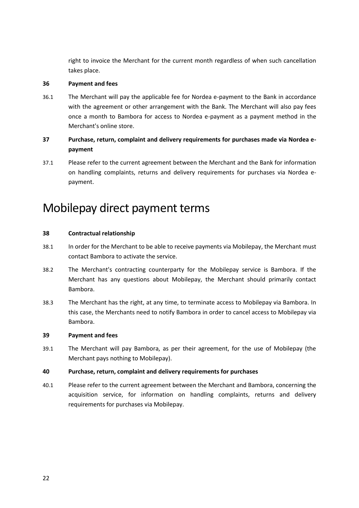right to invoice the Merchant for the current month regardless of when such cancellation takes place.

#### **36 Payment and fees**

36.1 The Merchant will pay the applicable fee for Nordea e-payment to the Bank in accordance with the agreement or other arrangement with the Bank. The Merchant will also pay fees once a month to Bambora for access to Nordea e-payment as a payment method in the Merchant's online store.

## **37 Purchase, return, complaint and delivery requirements for purchases made via Nordea epayment**

37.1 Please refer to the current agreement between the Merchant and the Bank for information on handling complaints, returns and delivery requirements for purchases via Nordea epayment.

## Mobilepay direct payment terms

## **38 Contractual relationship**

- 38.1 In order for the Merchant to be able to receive payments via Mobilepay, the Merchant must contact Bambora to activate the service.
- 38.2 The Merchant's contracting counterparty for the Mobilepay service is Bambora. If the Merchant has any questions about Mobilepay, the Merchant should primarily contact Bambora.
- 38.3 The Merchant has the right, at any time, to terminate access to Mobilepay via Bambora. In this case, the Merchants need to notify Bambora in order to cancel access to Mobilepay via Bambora.

#### **39 Payment and fees**

39.1 The Merchant will pay Bambora, as per their agreement, for the use of Mobilepay (the Merchant pays nothing to Mobilepay).

#### **40 Purchase, return, complaint and delivery requirements for purchases**

40.1 Please refer to the current agreement between the Merchant and Bambora, concerning the acquisition service, for information on handling complaints, returns and delivery requirements for purchases via Mobilepay.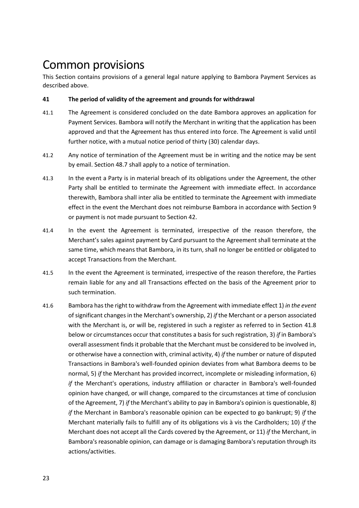## Common provisions

This Section contains provisions of a general legal nature applying to Bambora Payment Services as described above.

## **41 The period of validity of the agreement and grounds for withdrawal**

- 41.1 The Agreement is considered concluded on the date Bambora approves an application for Payment Services. Bambora will notify the Merchant in writing that the application has been approved and that the Agreement has thus entered into force. The Agreement is valid until further notice, with a mutual notice period of thirty (30) calendar days.
- 41.2 Any notice of termination of the Agreement must be in writing and the notice may be sent by email. Section [48.7](#page-27-0) shall apply to a notice of termination.
- 41.3 In the event a Party is in material breach of its obligations under the Agreement, the other Party shall be entitled to terminate the Agreement with immediate effect. In accordance therewith, Bambora shall inter alia be entitled to terminate the Agreement with immediate effect in the event the Merchant does not reimburse Bambora in accordance with Section [9](#page-10-3) or payment is not made pursuant to Section [42.](#page-23-0)
- 41.4 In the event the Agreement is terminated, irrespective of the reason therefore, the Merchant's sales against payment by Card pursuant to the Agreement shall terminate at the same time, which means that Bambora, in its turn, shall no longer be entitled or obligated to accept Transactions from the Merchant.
- 41.5 In the event the Agreement is terminated, irrespective of the reason therefore, the Parties remain liable for any and all Transactions effected on the basis of the Agreement prior to such termination.
- 41.6 Bambora has the right to withdraw from the Agreement with immediate effect 1) *in the event* of significant changes in the Merchant's ownership, 2) *if* the Merchant or a person associated with the Merchant is, or will be, registered in such a register as referred to in Section [41.8](#page-23-1) below or circumstances occur that constitutes a basis for such registration, 3) *if* in Bambora's overall assessment finds it probable that the Merchant must be considered to be involved in, or otherwise have a connection with, criminal activity, 4) *if* the number or nature of disputed Transactions in Bambora's well-founded opinion deviates from what Bambora deems to be normal, 5) *if* the Merchant has provided incorrect, incomplete or misleading information, 6) *if* the Merchant's operations, industry affiliation or character in Bambora's well-founded opinion have changed, or will change, compared to the circumstances at time of conclusion of the Agreement, 7) *if* the Merchant's ability to pay in Bambora's opinion is questionable, 8) *if* the Merchant in Bambora's reasonable opinion can be expected to go bankrupt; 9) *if* the Merchant materially fails to fulfill any of its obligations vis à vis the Cardholders; 10) *if* the Merchant does not accept all the Cards covered by the Agreement, or 11) *if* the Merchant, in Bambora's reasonable opinion, can damage or is damaging Bambora's reputation through its actions/activities.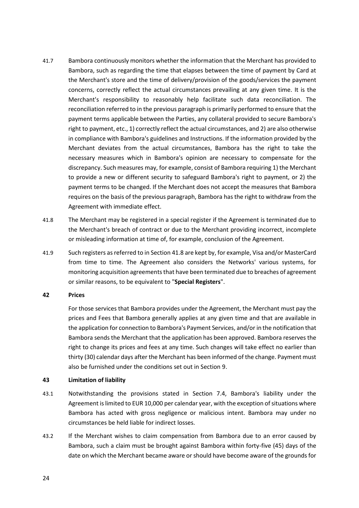- 41.7 Bambora continuously monitors whether the information that the Merchant has provided to Bambora, such as regarding the time that elapses between the time of payment by Card at the Merchant's store and the time of delivery/provision of the goods/services the payment concerns, correctly reflect the actual circumstances prevailing at any given time. It is the Merchant's responsibility to reasonably help facilitate such data reconciliation. The reconciliation referred to in the previous paragraph is primarily performed to ensure that the payment terms applicable between the Parties, any collateral provided to secure Bambora's right to payment, etc., 1) correctly reflect the actual circumstances, and 2) are also otherwise in compliance with Bambora's guidelines and Instructions. If the information provided by the Merchant deviates from the actual circumstances, Bambora has the right to take the necessary measures which in Bambora's opinion are necessary to compensate for the discrepancy. Such measures may, for example, consist of Bambora requiring 1) the Merchant to provide a new or different security to safeguard Bambora's right to payment, or 2) the payment terms to be changed. If the Merchant does not accept the measures that Bambora requires on the basis of the previous paragraph, Bambora has the right to withdraw from the Agreement with immediate effect.
- <span id="page-23-1"></span>41.8 The Merchant may be registered in a special register if the Agreement is terminated due to the Merchant's breach of contract or due to the Merchant providing incorrect, incomplete or misleading information at time of, for example, conclusion of the Agreement.
- 41.9 Such registers as referred to in Sectio[n 41.8](#page-23-1) are kept by, for example, Visa and/or MasterCard from time to time. The Agreement also considers the Networks' various systems, for monitoring acquisition agreements that have been terminated due to breaches of agreement or similar reasons, to be equivalent to "**Special Registers**".

#### <span id="page-23-0"></span>**42 Prices**

For those services that Bambora provides under the Agreement, the Merchant must pay the prices and Fees that Bambora generally applies at any given time and that are available in the application for connection to Bambora's Payment Services, and/or in the notification that Bambora sends the Merchant that the application has been approved. Bambora reserves the right to change its prices and fees at any time. Such changes will take effect no earlier than thirty (30) calendar days after the Merchant has been informed of the change. Payment must also be furnished under the conditions set out in Section [9.](#page-10-3)

#### **43 Limitation of liability**

- 43.1 Notwithstanding the provisions stated in Section [7.4,](#page-8-2) Bambora's liability under the Agreement is limited to EUR 10,000 per calendar year, with the exception of situations where Bambora has acted with gross negligence or malicious intent. Bambora may under no circumstances be held liable for indirect losses.
- 43.2 If the Merchant wishes to claim compensation from Bambora due to an error caused by Bambora, such a claim must be brought against Bambora within forty-five (45) days of the date on which the Merchant became aware or should have become aware of the grounds for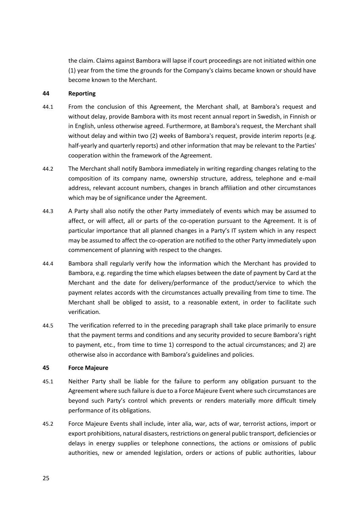the claim. Claims against Bambora will lapse if court proceedings are not initiated within one (1) year from the time the grounds for the Company's claims became known or should have become known to the Merchant.

#### **44 Reporting**

- 44.1 From the conclusion of this Agreement, the Merchant shall, at Bambora's request and without delay, provide Bambora with its most recent annual report in Swedish, in Finnish or in English, unless otherwise agreed. Furthermore, at Bambora's request, the Merchant shall without delay and within two (2) weeks of Bambora's request, provide interim reports (e.g. half-yearly and quarterly reports) and other information that may be relevant to the Parties' cooperation within the framework of the Agreement.
- 44.2 The Merchant shall notify Bambora immediately in writing regarding changes relating to the composition of its company name, ownership structure, address, telephone and e-mail address, relevant account numbers, changes in branch affiliation and other circumstances which may be of significance under the Agreement.
- 44.3 A Party shall also notify the other Party immediately of events which may be assumed to affect, or will affect, all or parts of the co-operation pursuant to the Agreement. It is of particular importance that all planned changes in a Party's IT system which in any respect may be assumed to affect the co-operation are notified to the other Party immediately upon commencement of planning with respect to the changes.
- 44.4 Bambora shall regularly verify how the information which the Merchant has provided to Bambora, e.g. regarding the time which elapses between the date of payment by Card at the Merchant and the date for delivery/performance of the product/service to which the payment relates accords with the circumstances actually prevailing from time to time. The Merchant shall be obliged to assist, to a reasonable extent, in order to facilitate such verification.
- 44.5 The verification referred to in the preceding paragraph shall take place primarily to ensure that the payment terms and conditions and any security provided to secure Bambora's right to payment, etc., from time to time 1) correspond to the actual circumstances; and 2) are otherwise also in accordance with Bambora's guidelines and policies.

#### **45 Force Majeure**

- <span id="page-24-0"></span>45.1 Neither Party shall be liable for the failure to perform any obligation pursuant to the Agreement where such failure is due to a Force Majeure Event where such circumstances are beyond such Party's control which prevents or renders materially more difficult timely performance of its obligations.
- 45.2 Force Majeure Events shall include, inter alia, war, acts of war, terrorist actions, import or export prohibitions, natural disasters, restrictions on general public transport, deficiencies or delays in energy supplies or telephone connections, the actions or omissions of public authorities, new or amended legislation, orders or actions of public authorities, labour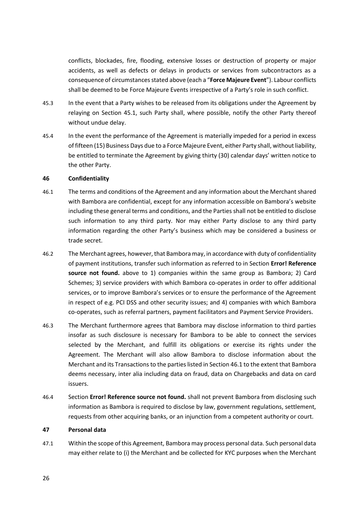conflicts, blockades, fire, flooding, extensive losses or destruction of property or major accidents, as well as defects or delays in products or services from subcontractors as a consequence of circumstances stated above (each a "**Force Majeure Event**"). Labour conflicts shall be deemed to be Force Majeure Events irrespective of a Party's role in such conflict.

- 45.3 In the event that a Party wishes to be released from its obligations under the Agreement by relaying on Section [45.1,](#page-24-0) such Party shall, where possible, notify the other Party thereof without undue delay.
- 45.4 In the event the performance of the Agreement is materially impeded for a period in excess of fifteen (15) Business Days due to a Force Majeure Event, either Party shall, without liability, be entitled to terminate the Agreement by giving thirty (30) calendar days' written notice to the other Party.

#### **46 Confidentiality**

- <span id="page-25-0"></span>46.1 The terms and conditions of the Agreement and any information about the Merchant shared with Bambora are confidential, except for any information accessible on Bambora's website including these general terms and conditions, and the Parties shall not be entitled to disclose such information to any third party. Nor may either Party disclose to any third party information regarding the other Party's business which may be considered a business or trade secret.
- 46.2 The Merchant agrees, however, that Bambora may, in accordance with duty of confidentiality of payment institutions, transfer such information as referred to in Section **Error! Reference**  source not found. above to 1) companies within the same group as Bambora; 2) Card Schemes; 3) service providers with which Bambora co-operates in order to offer additional services, or to improve Bambora's services or to ensure the performance of the Agreement in respect of e.g. PCI DSS and other security issues; and 4) companies with which Bambora co-operates, such as referral partners, payment facilitators and Payment Service Providers.
- 46.3 The Merchant furthermore agrees that Bambora may disclose information to third parties insofar as such disclosure is necessary for Bambora to be able to connect the services selected by the Merchant, and fulfill its obligations or exercise its rights under the Agreement. The Merchant will also allow Bambora to disclose information about the Merchant and its Transactions to the parties listed in Sectio[n 46.1](#page-25-0) to the extent that Bambora deems necessary, inter alia including data on fraud, data on Chargebacks and data on card issuers.
- 46.4 Section **Error! Reference source not found.** shall not prevent Bambora from disclosing such information as Bambora is required to disclose by law, government regulations, settlement, requests from other acquiring banks, or an injunction from a competent authority or court.

#### **47 Personal data**

47.1 Within the scope of this Agreement, Bambora may process personal data. Such personal data may either relate to (i) the Merchant and be collected for KYC purposes when the Merchant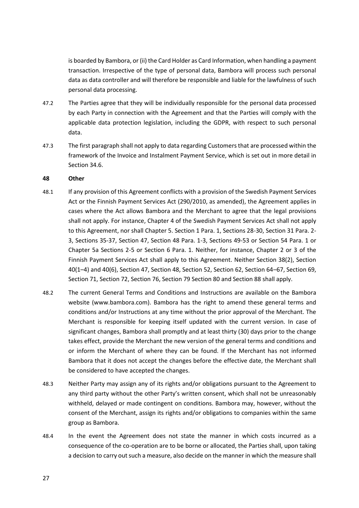is boarded by Bambora, or (ii) the Card Holder as Card Information, when handling a payment transaction. Irrespective of the type of personal data, Bambora will process such personal data as data controller and will therefore be responsible and liable for the lawfulness of such personal data processing.

- 47.2 The Parties agree that they will be individually responsible for the personal data processed by each Party in connection with the Agreement and that the Parties will comply with the applicable data protection legislation, including the GDPR, with respect to such personal data.
- 47.3 The first paragraph shall not apply to data regarding Customers that are processed within the framework of the Invoice and Instalment Payment Service, which is set out in more detail in Section [34.6.](#page-20-0)

#### **48 Other**

- 48.1 If any provision of this Agreement conflicts with a provision of the Swedish Payment Services Act or the Finnish Payment Services Act (290/2010, as amended), the Agreement applies in cases where the Act allows Bambora and the Merchant to agree that the legal provisions shall not apply. For instance, Chapter 4 of the Swedish Payment Services Act shall not apply to this Agreement, nor shall Chapter 5. Section 1 Para. 1, Sections 28-30, Section 31 Para. 2- 3, Sections 35-37, Section 47, Section 48 Para. 1-3, Sections 49-53 or Section 54 Para. 1 or Chapter 5a Sections 2-5 or Section 6 Para. 1. Neither, for instance, Chapter 2 or 3 of the Finnish Payment Services Act shall apply to this Agreement. Neither Section 38(2), Section 40(1–4) and 40(6), Section 47, Section 48, Section 52, Section 62, Section 64–67, Section 69, Section 71, Section 72, Section 76, Section 79 Section 80 and Section 88 shall apply.
- <span id="page-26-0"></span>48.2 The current General Terms and Conditions and Instructions are available on the Bambora website (www.bambora.com). Bambora has the right to amend these general terms and conditions and/or Instructions at any time without the prior approval of the Merchant. The Merchant is responsible for keeping itself updated with the current version. In case of significant changes, Bambora shall promptly and at least thirty (30) days prior to the change takes effect, provide the Merchant the new version of the general terms and conditions and or inform the Merchant of where they can be found. If the Merchant has not informed Bambora that it does not accept the changes before the effective date, the Merchant shall be considered to have accepted the changes.
- 48.3 Neither Party may assign any of its rights and/or obligations pursuant to the Agreement to any third party without the other Party's written consent, which shall not be unreasonably withheld, delayed or made contingent on conditions. Bambora may, however, without the consent of the Merchant, assign its rights and/or obligations to companies within the same group as Bambora.
- 48.4 In the event the Agreement does not state the manner in which costs incurred as a consequence of the co-operation are to be borne or allocated, the Parties shall, upon taking a decision to carry out such a measure, also decide on the manner in which the measure shall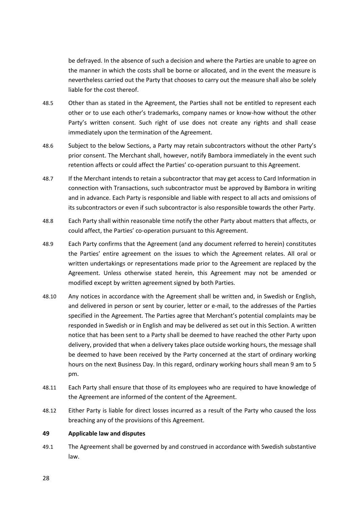be defrayed. In the absence of such a decision and where the Parties are unable to agree on the manner in which the costs shall be borne or allocated, and in the event the measure is nevertheless carried out the Party that chooses to carry out the measure shall also be solely liable for the cost thereof.

- 48.5 Other than as stated in the Agreement, the Parties shall not be entitled to represent each other or to use each other's trademarks, company names or know-how without the other Party's written consent. Such right of use does not create any rights and shall cease immediately upon the termination of the Agreement.
- 48.6 Subject to the below Sections, a Party may retain subcontractors without the other Party's prior consent. The Merchant shall, however, notify Bambora immediately in the event such retention affects or could affect the Parties' co-operation pursuant to this Agreement.
- <span id="page-27-0"></span>48.7 If the Merchant intends to retain a subcontractor that may get access to Card Information in connection with Transactions, such subcontractor must be approved by Bambora in writing and in advance. Each Party is responsible and liable with respect to all acts and omissions of its subcontractors or even if such subcontractor is also responsible towards the other Party.
- 48.8 Each Party shall within reasonable time notify the other Party about matters that affects, or could affect, the Parties' co-operation pursuant to this Agreement.
- 48.9 Each Party confirms that the Agreement (and any document referred to herein) constitutes the Parties' entire agreement on the issues to which the Agreement relates. All oral or written undertakings or representations made prior to the Agreement are replaced by the Agreement. Unless otherwise stated herein, this Agreement may not be amended or modified except by written agreement signed by both Parties.
- 48.10 Any notices in accordance with the Agreement shall be written and, in Swedish or English, and delivered in person or sent by courier, letter or e-mail, to the addresses of the Parties specified in the Agreement. The Parties agree that Merchant's potential complaints may be responded in Swedish or in English and may be delivered as set out in this Section. A written notice that has been sent to a Party shall be deemed to have reached the other Party upon delivery, provided that when a delivery takes place outside working hours, the message shall be deemed to have been received by the Party concerned at the start of ordinary working hours on the next Business Day. In this regard, ordinary working hours shall mean 9 am to 5 pm.
- 48.11 Each Party shall ensure that those of its employees who are required to have knowledge of the Agreement are informed of the content of the Agreement.
- 48.12 Either Party is liable for direct losses incurred as a result of the Party who caused the loss breaching any of the provisions of this Agreement.

#### **49 Applicable law and disputes**

49.1 The Agreement shall be governed by and construed in accordance with Swedish substantive law.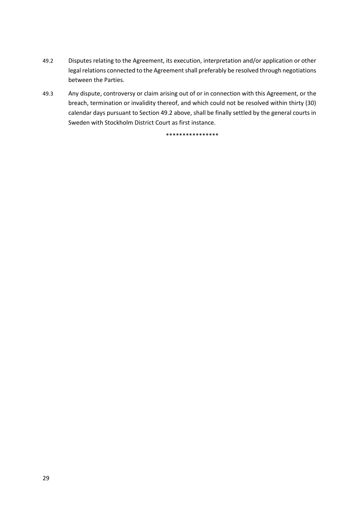- <span id="page-28-0"></span>49.2 Disputes relating to the Agreement, its execution, interpretation and/or application or other legal relations connected to the Agreement shall preferably be resolved through negotiations between the Parties.
- 49.3 Any dispute, controversy or claim arising out of or in connection with this Agreement, or the breach, termination or invalidity thereof, and which could not be resolved within thirty (30) calendar days pursuant to Sectio[n 49.2](#page-28-0) above, shall be finally settled by the general courts in Sweden with Stockholm District Court as first instance.

\*\*\*\*\*\*\*\*\*\*\*\*\*\*\*\*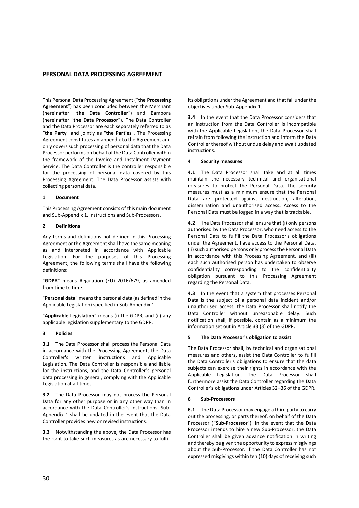#### **PERSONAL DATA PROCESSING AGREEMENT**

This Personal Data Processing Agreement ("**the Processing Agreement**") has been concluded between the Merchant (hereinafter "**the Data Controller**") and Bambora (hereinafter "**the Data Processor**"). The Data Controller and the Data Processor are each separately referred to as "**the Party**" and jointly as "**the Parties**". The Processing Agreement constitutes an appendix to the Agreement and only covers such processing of personal data that the Data Processor performs on behalf of the Data Controller within the framework of the Invoice and Instalment Payment Service. The Data Controller is the controller responsible for the processing of personal data covered by this Processing Agreement. The Data Processor assists with collecting personal data.

#### **1 Document**

This Processing Agreement consists of this main document and Sub-Appendix 1, Instructions and Sub-Processors.

#### **2 Definitions**

Any terms and definitions not defined in this Processing Agreement or the Agreement shall have the same meaning as and interpreted in accordance with Applicable Legislation. For the purposes of this Processing Agreement, the following terms shall have the following definitions:

"**GDPR**" means Regulation (EU) 2016/679, as amended from time to time.

"**Personal data**" means the personal data (as defined in the Applicable Legislation) specified in Sub-Appendix 1.

"**Applicable Legislation**" means (i) the GDPR, and (ii) any applicable legislation supplementary to the GDPR.

#### **3 Policies**

**3.1** The Data Processor shall process the Personal Data in accordance with the Processing Agreement, the Data Controller's written instructions and Applicable Legislation. The Data Controller is responsible and liable for the instructions, and the Data Controller's personal data processing in general, complying with the Applicable Legislation at all times.

**3.2** The Data Processor may not process the Personal Data for any other purpose or in any other way than in accordance with the Data Controller's instructions. Sub-Appendix 1 shall be updated in the event that the Data Controller provides new or revised instructions.

**3.3** Notwithstanding the above, the Data Processor has the right to take such measures as are necessary to fulfill its obligations under the Agreement and that fall under the objectives under Sub-Appendix 1.

**3.4** In the event that the Data Processor considers that an instruction from the Data Controller is incompatible with the Applicable Legislation, the Data Processor shall refrain from following the instruction and inform the Data Controller thereof without undue delay and await updated instructions.

#### **4 Security measures**

**4.1** The Data Processor shall take and at all times maintain the necessary technical and organisational measures to protect the Personal Data. The security measures must as a minimum ensure that the Personal Data are protected against destruction, alteration, dissemination and unauthorised access. Access to the Personal Data must be logged in a way that is trackable.

**4.2** The Data Processor shall ensure that (i) only persons authorised by the Data Processor, who need access to the Personal Data to fulfill the Data Processor's obligations under the Agreement, have access to the Personal Data, (ii) such authorised persons only process the Personal Data in accordance with this Processing Agreement, and (iii) each such authorised person has undertaken to observe confidentiality corresponding to the confidentiality obligation pursuant to this Processing Agreement regarding the Personal Data.

**4.3** In the event that a system that processes Personal Data is the subject of a personal data incident and/or unauthorised access, the Data Processor shall notify the Data Controller without unreasonable delay. Such notification shall, if possible, contain as a minimum the information set out in Article 33 (3) of the GDPR.

#### <span id="page-29-1"></span>**5 The Data Processor's obligation to assist**

The Data Processor shall, by technical and organisational measures and others, assist the Data Controller to fulfill the Data Controller's obligations to ensure that the data subjects can exercise their rights in accordance with the Applicable Legislation. The Data Processor shall furthermore assist the Data Controller regarding the Data Controller's obligations under Articles 32–36 of the GDPR.

#### **6 Sub-Processors**

<span id="page-29-0"></span>**6.1** The Data Processor may engage a third party to carry out the processing, or parts thereof, on behalf of the Data Processor (**"Sub-Processor**"). In the event that the Data Processor intends to hire a new Sub-Processor, the Data Controller shall be given advance notification in writing and thereby be given the opportunity to express misgivings about the Sub-Processor. If the Data Controller has not expressed misgivings within ten (10) days of receiving such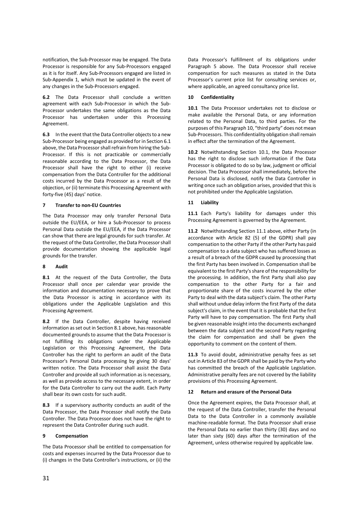notification, the Sub-Processor may be engaged. The Data Processor is responsible for any Sub-Processors engaged as it is for itself. Any Sub-Processors engaged are listed in Sub-Appendix 1, which must be updated in the event of any changes in the Sub-Processors engaged.

**6.2** The Data Processor shall conclude a written agreement with each Sub-Processor in which the Sub-Processor undertakes the same obligations as the Data Processor has undertaken under this Processing Agreement.

**6.3** In the event that the Data Controller objects to a new Sub-Processor being engaged as provided for in Sectio[n 6.1](#page-29-0) above, the Data Processor shall refrain from hiring the Sub-Processor. If this is not practicable or commercially reasonable according to the Data Processor, the Data Processor shall have the right to either (i) receive compensation from the Data Controller for the additional costs incurred by the Data Processor as a result of the objection, or (ii) terminate this Processing Agreement with forty-five (45) days' notice.

#### **7 Transfer to non-EU Countries**

The Data Processor may only transfer Personal Data outside the EU/EEA, or hire a Sub-Processor to process Personal Data outside the EU/EEA, if the Data Processor can show that there are legal grounds for such transfer. At the request of the Data Controller, the Data Processor shall provide documentation showing the applicable legal grounds for the transfer.

#### **8 Audit**

<span id="page-30-0"></span>**8.1** At the request of the Data Controller, the Data Processor shall once per calendar year provide the information and documentation necessary to prove that the Data Processor is acting in accordance with its obligations under the Applicable Legislation and this Processing Agreement.

**8.2** If the Data Controller, despite having received information as set out in Sectio[n 8.1](#page-30-0) above, has reasonable documented grounds to assume that the Data Processor is not fulfilling its obligations under the Applicable Legislation or this Processing Agreement, the Data Controller has the right to perform an audit of the Data Processor's Personal Data processing by giving 30 days' written notice. The Data Processor shall assist the Data Controller and provide all such information as is necessary, as well as provide access to the necessary extent, in order for the Data Controller to carry out the audit. Each Party shall bear its own costs for such audit.

**8.3** If a supervisory authority conducts an audit of the Data Processor, the Data Processor shall notify the Data Controller. The Data Processor does not have the right to represent the Data Controller during such audit.

#### **9 Compensation**

The Data Processor shall be entitled to compensation for costs and expenses incurred by the Data Processor due to (i) changes in the Data Controller's instructions, or (ii) the Data Processor's fulfillment of its obligations under Paragraph [5](#page-29-1) above. The Data Processor shall receive compensation for such measures as stated in the Data Processor's current price list for consulting services or, where applicable, an agreed consultancy price list.

#### <span id="page-30-1"></span>**10 Confidentiality**

<span id="page-30-2"></span>**10.1** The Data Processor undertakes not to disclose or make available the Personal Data, or any information related to the Personal Data, to third parties. For the purposes of this Paragrap[h 10](#page-30-1), "third party" does not mean Sub-Processors. This confidentiality obligation shall remain in effect after the termination of the Agreement.

**10.2** Notwithstanding Section [10.1,](#page-30-2) the Data Processor has the right to disclose such information if the Data Processor is obligated to do so by law, judgment or official decision. The Data Processor shall immediately, before the Personal Data is disclosed, notify the Data Controller in writing once such an obligation arises, provided that this is not prohibited under the Applicable Legislation.

#### **11 Liability**

<span id="page-30-3"></span>**11.1** Each Party's liability for damages under this Processing Agreement is governed by the Agreement.

**11.2** Notwithstanding Sectio[n 11.1](#page-30-3) above, either Party (in accordance with Article 82 (5) of the GDPR) shall pay compensation to the other Party if the other Party has paid compensation to a data subject who has suffered losses as a result of a breach of the GDPR caused by processing that the first Party has been involved in. Compensation shall be equivalent to the first Party's share of the responsibility for the processing. In addition, the first Party shall also pay compensation to the other Party for a fair and proportionate share of the costs incurred by the other Party to deal with the data subject's claim. The other Party shall without undue delay inform the first Party of the data subject's claim, in the event that it is probable that the first Party will have to pay compensation. The first Party shall be given reasonable insight into the documents exchanged between the data subject and the second Party regarding the claim for compensation and shall be given the opportunity to comment on the content of them.

**11.3** To avoid doubt, administrative penalty fees as set out in Article 83 of the GDPR shall be paid by the Party who has committed the breach of the Applicable Legislation. Administrative penalty fees are not covered by the liability provisions of this Processing Agreement.

#### <span id="page-30-4"></span>**12 Return and erasure of the Personal Data**

Once the Agreement expires, the Data Processor shall, at the request of the Data Controller, transfer the Personal Data to the Data Controller in a commonly available machine-readable format. The Data Processor shall erase the Personal Data no earlier than thirty (30) days and no later than sixty (60) days after the termination of the Agreement, unless otherwise required by applicable law.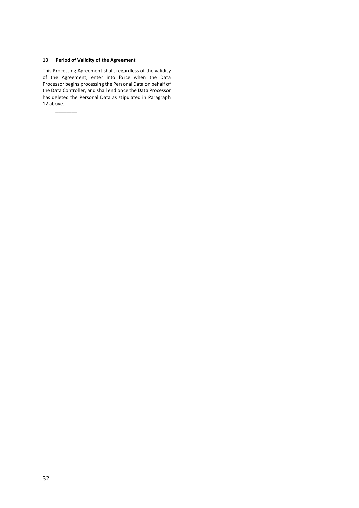#### **13 Period of Validity of the Agreement**

 $\overline{\phantom{a}}$ 

This Processing Agreement shall, regardless of the validity of the Agreement, enter into force when the Data Processor begins processing the Personal Data on behalf of the Data Controller, and shall end once the Data Processor has deleted the Personal Data as stipulated in Paragraph [12](#page-30-4) above.